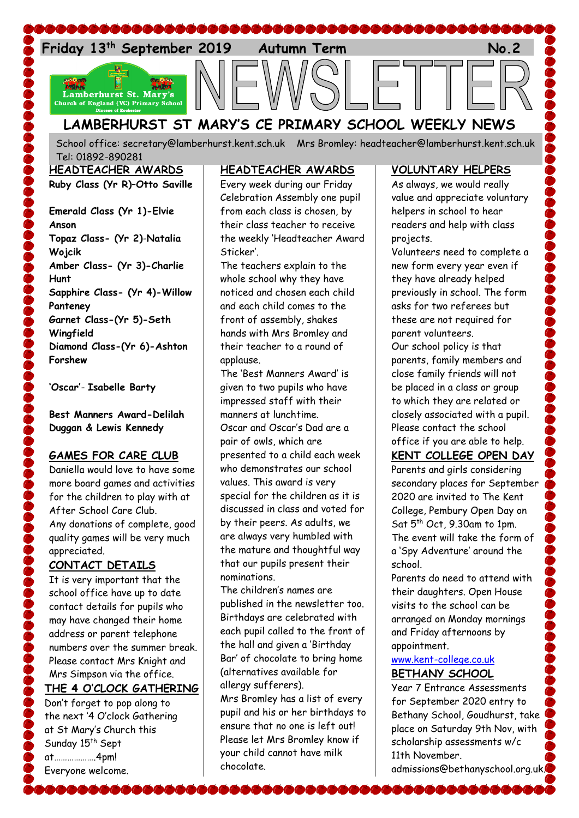

# **LAMBERHURST ST MARY'S CE PRIMARY SCHOOL WEEKLY NEWS**

School office: [secretary@lamberhurst.kent.sch.uk](mailto:secretary@lamberhurst.kent.sch.uk) Mrs Bromley: headteacher@lamberhurst.kent.sch.uk Tel: 01892-890281

**HEADTEACHER AWARDS**

**Ruby Class (Yr R)**–**Otto Saville**

**Emerald Class (Yr 1)-Elvie Anson Topaz Class- (Yr 2)**-**Natalia Wojcik Amber Class- (Yr 3)-Charlie Hunt Sapphire Class- (Yr 4)-Willow Panteney Garnet Class-(Yr 5)-Seth Wingfield Diamond Class-(Yr 6)-Ashton Forshew**

**'Oscar'**- **Isabelle Barty**

**Best Manners Award-Delilah Duggan & Lewis Kennedy**

### **GAMES FOR CARE CLUB**

Daniella would love to have some more board games and activities for the children to play with at After School Care Club. Any donations of complete, good quality games will be very much appreciated.

# **CONTACT DETAILS**

It is very important that the school office have up to date contact details for pupils who may have changed their home address or parent telephone numbers over the summer break. Please contact Mrs Knight and Mrs Simpson via the office. **THE 4 O'CLOCK GATHERING**

Don't forget to pop along to the next '4 O'clock Gathering at St Mary's Church this Sunday 15<sup>th</sup> Sept at……………….4pm! Everyone welcome.

**BAAAAAA** 

## **HEADTEACHER AWARDS**

Every week during our Friday Celebration Assembly one pupil from each class is chosen, by their class teacher to receive the weekly 'Headteacher Award Sticker'.

The teachers explain to the whole school why they have noticed and chosen each child and each child comes to the front of assembly, shakes hands with Mrs Bromley and their teacher to a round of applause.

The 'Best Manners Award' is given to two pupils who have impressed staff with their manners at lunchtime. Oscar and Oscar's Dad are a pair of owls, which are presented to a child each week who demonstrates our school values. This award is very special for the children as it is discussed in class and voted for by their peers. As adults, we are always very humbled with the mature and thoughtful way that our pupils present their nominations.

The children's names are published in the newsletter too. Birthdays are celebrated with each pupil called to the front of the hall and given a 'Birthday Bar' of chocolate to bring home (alternatives available for allergy sufferers).

Mrs Bromley has a list of every pupil and his or her birthdays to ensure that no one is left out! Please let Mrs Bromley know if your child cannot have milk chocolate.

## **VOLUNTARY HELPERS**

As always, we would really value and appreciate voluntary helpers in school to hear readers and help with class projects.

Volunteers need to complete a new form every year even if they have already helped previously in school. The form asks for two referees but these are not required for parent volunteers.

Our school policy is that parents, family members and close family friends will not be placed in a class or group to which they are related or closely associated with a pupil. Please contact the school office if you are able to help.

# **KENT COLLEGE OPEN DAY**

Parents and girls considering secondary places for September 2020 are invited to The Kent College, Pembury Open Day on Sat 5th Oct, 9.30am to 1pm. The event will take the form of a 'Spy Adventure' around the school.

Parents do need to attend with their daughters. Open House visits to the school can be arranged on Monday mornings and Friday afternoons by appointment.

#### [www.kent-college.co.uk](http://www.kent-college.co.uk/) **BETHANY SCHOOL**

**BAAAAA** 

Year 7 Entrance Assessments for September 2020 entry to Bethany School, Goudhurst, take place on Saturday 9th Nov, with scholarship assessments w/c 11th November. admissions@bethanyschool.org.uk.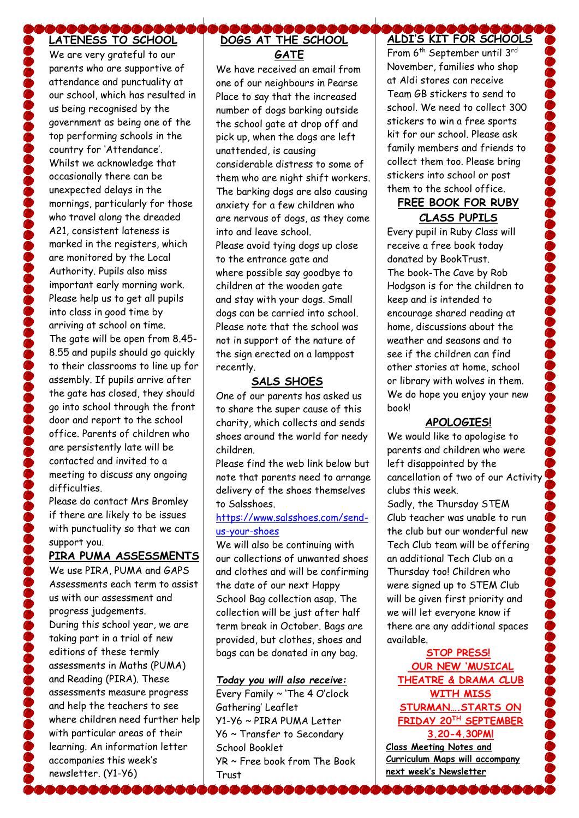#### \$&&&& **LATENESS TO SCHOOL**

We are very grateful to our parents who are supportive of attendance and punctuality at our school, which has resulted in us being recognised by the government as being one of the top performing schools in the country for 'Attendance'. Whilst we acknowledge that occasionally there can be unexpected delays in the mornings, particularly for those who travel along the dreaded A21, consistent lateness is marked in the registers, which are monitored by the Local Authority. Pupils also miss important early morning work. Please help us to get all pupils into class in good time by arriving at school on time. The gate will be open from 8.45- 8.55 and pupils should go quickly to their classrooms to line up for assembly. If pupils arrive after the gate has closed, they should go into school through the front door and report to the school office. Parents of children who are persistently late will be contacted and invited to a meeting to discuss any ongoing difficulties.

Please do contact Mrs Bromley if there are likely to be issues with punctuality so that we can support you.

### **PIRA PUMA ASSESSMENTS**

We use PIRA, PUMA and GAPS Assessments each term to assist us with our assessment and progress judgements. During this school year, we are taking part in a trial of new editions of these termly assessments in Maths (PUMA) and Reading (PIRA). These assessments measure progress and help the teachers to see where children need further help with particular areas of their learning. An information letter accompanies this week's newsletter. (Y1-Y6)

,,,,,,,,,,,,,

#### $\mathcal{L}$ **DOGS AT THE SCHOOL GATE**

We have received an email from one of our neighbours in Pearse Place to say that the increased number of dogs barking outside the school gate at drop off and pick up, when the dogs are left unattended, is causing considerable distress to some of them who are night shift workers. The barking dogs are also causing anxiety for a few children who are nervous of dogs, as they come into and leave school. Please avoid tying dogs up close to the entrance gate and where possible say goodbye to children at the wooden gate and stay with your dogs. Small dogs can be carried into school. Please note that the school was not in support of the nature of the sign erected on a lamppost recently.

## **SALS SHOES**

One of our parents has asked us to share the super cause of this charity, which collects and sends shoes around the world for needy children.

Please find the web link below but note that parents need to arrange delivery of the shoes themselves to Salsshoes.

### [https://www.salsshoes.com/send](https://www.salsshoes.com/send-us-your-shoes)[us-your-shoes](https://www.salsshoes.com/send-us-your-shoes)

We will also be continuing with our collections of unwanted shoes and clothes and will be confirming the date of our next Happy School Bag collection asap. The collection will be just after half term break in October. Bags are provided, but clothes, shoes and bags can be donated in any bag.

### *Today you will also receive:*

Every Family ~ 'The 4 O'clock Gathering' Leaflet Y1-Y6 ~ PIRA PUMA Letter Y6 ~ Transfer to Secondary School Booklet YR ~ Free book from The Book **Trust** 

#### 10000 **ALDI'S KIT FOR SCHOOLS**

From 6<sup>th</sup> September until 3<sup>rd</sup> November, families who shop at Aldi stores can receive Team GB stickers to send to school. We need to collect 300 stickers to win a free sports kit for our school. Please ask family members and friends to collect them too. Please bring stickers into school or post them to the school office.

# **FREE BOOK FOR RUBY CLASS PUPILS**

Every pupil in Ruby Class will receive a free book today donated by BookTrust. The book-The Cave by Rob Hodgson is for the children to keep and is intended to encourage shared reading at home, discussions about the weather and seasons and to see if the children can find other stories at home, school or library with wolves in them. We do hope you enjoy your new book!

# **APOLOGIES!**

We would like to apologise to parents and children who were left disappointed by the cancellation of two of our Activity clubs this week.

Sadly, the Thursday STEM Club teacher was unable to run the club but our wonderful new Tech Club team will be offering an additional Tech Club on a Thursday too! Children who were signed up to STEM Club will be given first priority and we will let everyone know if there are any additional spaces available.

**STOP PRESS! OUR NEW 'MUSICAL THEATRE & DRAMA CLUB WITH MISS STURMAN….STARTS ON FRIDAY 20TH SEPTEMBER** 

**3.20-4.30PM! Class Meeting Notes and Curriculum Maps will accompany next week's Newsletter**